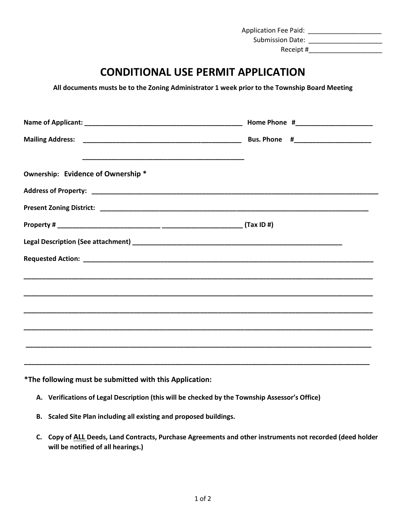Application Fee Paid: \_\_\_\_\_\_\_\_\_\_\_\_\_\_\_\_\_\_\_\_

Submission Date: \_\_\_\_\_\_\_\_\_\_\_\_\_\_\_\_\_\_\_\_

Receipt #\_\_\_\_\_\_\_\_\_\_\_\_\_\_\_\_\_\_\_\_

## **CONDITIONAL USE PERMIT APPLICATION**

 **All documents musts be to the Zoning Administrator 1 week prior to the Township Board Meeting** 

|                                    | Home Phone #______________________ |
|------------------------------------|------------------------------------|
|                                    |                                    |
|                                    |                                    |
| Ownership: Evidence of Ownership * |                                    |
|                                    |                                    |
|                                    |                                    |
|                                    |                                    |
|                                    |                                    |
|                                    |                                    |
|                                    |                                    |
|                                    |                                    |
|                                    |                                    |
|                                    |                                    |
|                                    |                                    |
|                                    |                                    |

**\*The following must be submitted with this Application:** 

- **A. Verifications of Legal Description (this will be checked by the Township Assessor's Office)**
- **B. Scaled Site Plan including all existing and proposed buildings.**
- **C. Copy of ALL Deeds, Land Contracts, Purchase Agreements and other instruments not recorded (deed holder will be notified of all hearings.)**